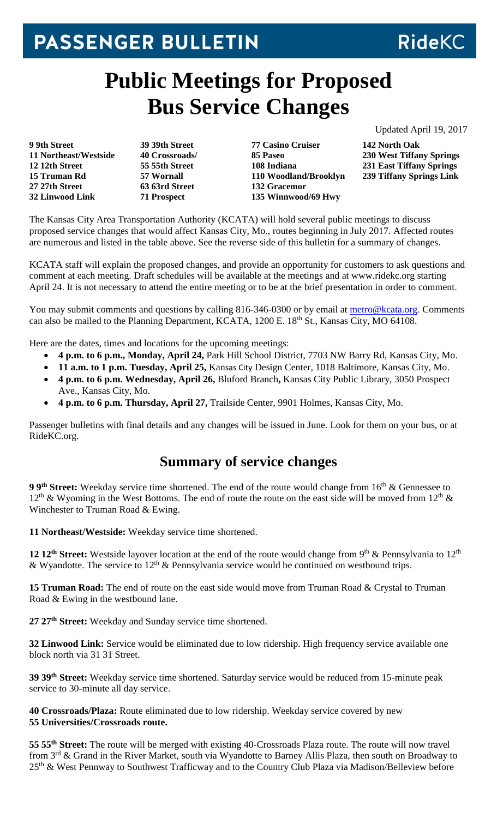## PASSENGER BULLETIN

## **Public Meetings for Proposed Bus Service Changes**

Updated April 19, 2017

**RideKC** 

**9 9th Street 11 Northeast/Westside 12 12th Street 15 Truman Rd 27 27th Street 32 Linwood Link**

**39 39th Street 40 Crossroads/ 55 55th Street 57 Wornall 63 63rd Street 71 Prospect**

**77 Casino Cruiser 85 Paseo 108 Indiana 110 Woodland/Brooklyn 132 Gracemor 135 Winnwood/69 Hwy**

**142 North Oak 230 West Tiffany Springs 231 East Tiffany Springs 239 Tiffany Springs Link**

The Kansas City Area Transportation Authority (KCATA) will hold several public meetings to discuss proposed service changes that would affect Kansas City, Mo., routes beginning in July 2017. Affected routes are numerous and listed in the table above. See the reverse side of this bulletin for a summary of changes.

KCATA staff will explain the proposed changes, and provide an opportunity for customers to ask questions and comment at each meeting. Draft schedules will be available at the meetings and at www.ridekc.org starting April 24. It is not necessary to attend the entire meeting or to be at the brief presentation in order to comment.

You may submit comments and questions by calling 816-346-0300 or by email at [metro@kcata.org.](mailto:metro@kcata.org) Comments can also be mailed to the Planning Department, KCATA, 1200 E. 18<sup>th</sup> St., Kansas City, MO 64108.

Here are the dates, times and locations for the upcoming meetings:

- **4 p.m. to 6 p.m., Monday, April 24,** Park Hill School District, 7703 NW Barry Rd, Kansas City, Mo.
- **11 a.m. to 1 p.m. Tuesday, April 25,** Kansas City Design Center, 1018 Baltimore, Kansas City, Mo.
- **4 p.m. to 6 p.m. Wednesday, April 26,** Bluford Branch**,** Kansas City Public Library, 3050 Prospect Ave., Kansas City, Mo.
- **4 p.m. to 6 p.m. Thursday, April 27,** Trailside Center, 9901 Holmes, Kansas City, Mo.

Passenger bulletins with final details and any changes will be issued in June. Look for them on your bus, or at RideKC.org.

## **Summary of service changes**

**9 9<sup>th</sup> Street:** Weekday service time shortened. The end of the route would change from 16<sup>th</sup> & Gennessee to  $12<sup>th</sup>$  & Wyoming in the West Bottoms. The end of route the route on the east side will be moved from  $12<sup>th</sup>$  & Winchester to Truman Road & Ewing.

**11 Northeast/Westside:** Weekday service time shortened.

**12 12<sup>th</sup> Street:** Westside layover location at the end of the route would change from 9<sup>th</sup> & Pennsylvania to 12<sup>th</sup> & Wyandotte. The service to 12<sup>th</sup> & Pennsylvania service would be continued on westbound trips.

**15 Truman Road:** The end of route on the east side would move from Truman Road & Crystal to Truman Road & Ewing in the westbound lane.

**27 27th Street:** Weekday and Sunday service time shortened.

**32 Linwood Link:** Service would be eliminated due to low ridership. High frequency service available one block north via 31 31 Street.

**39 39th Street:** Weekday service time shortened. Saturday service would be reduced from 15-minute peak service to 30-minute all day service.

**40 Crossroads/Plaza:** Route eliminated due to low ridership. Weekday service covered by new **55 Universities/Crossroads route.**

**55 55th Street:** The route will be merged with existing 40-Crossroads Plaza route. The route will now travel from 3<sup>rd</sup> & Grand in the River Market, south via Wyandotte to Barney Allis Plaza, then south on Broadway to 25<sup>th</sup> & West Pennway to Southwest Trafficway and to the Country Club Plaza via Madison/Belleview before